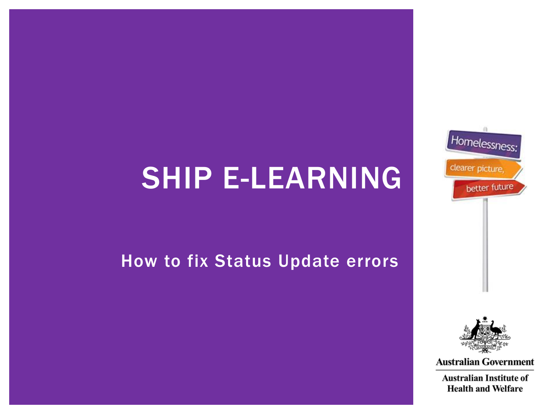# SHIP E-LEARNING

#### <span id="page-0-0"></span>How to fix Status Update errors





**Australian Government**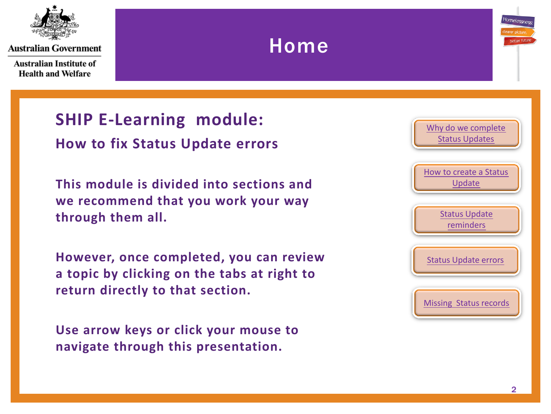

**Australian Institute of Health and Welfare** 

#### **SHIP E-Learning module: How to fix Status Update errors**

**This module is divided into sections and we recommend that you work your way through them all.**

Home

**However, once completed, you can review a topic by clicking on the tabs at right to return directly to that section.**

<span id="page-1-0"></span>**Use arrow keys or click your mouse to navigate through this presentation.**



Homelessne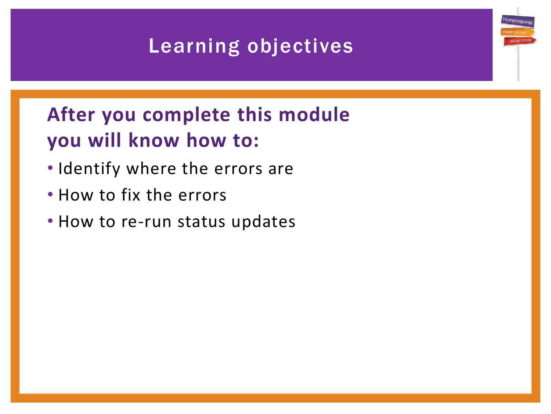### Learning objectives

## **After you complete this module you will know how to:**

- Identify where the errors are
- How to fix the errors
- How to re-run status updates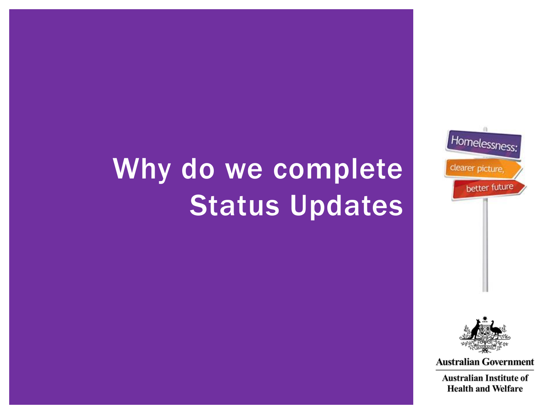# <span id="page-3-0"></span>Why do we complete Status Updates





**Australian Government**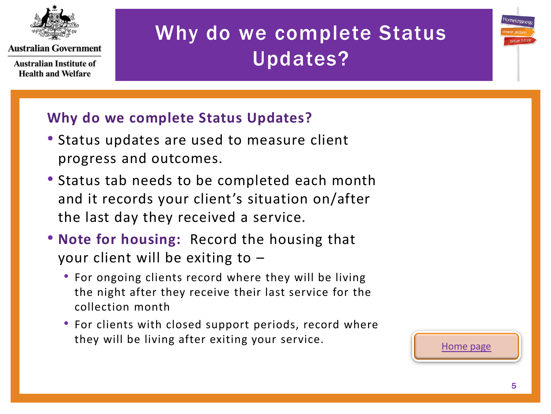

**Australian Institute of Health and Welfare** 

# Why do we complete Status Updates?



#### **Why do we complete Status Updates?**

- Status updates are used to measure client progress and outcomes.
- Status tab needs to be completed each month and it records your client's situation on/after the last day they received a service.
- **Note for housing:** Record the housing that your client will be exiting to –
	- For ongoing clients record where they will be living the night after they receive their last service for the collection month
	- For clients with closed support periods, record where they will be living after exiting your service.

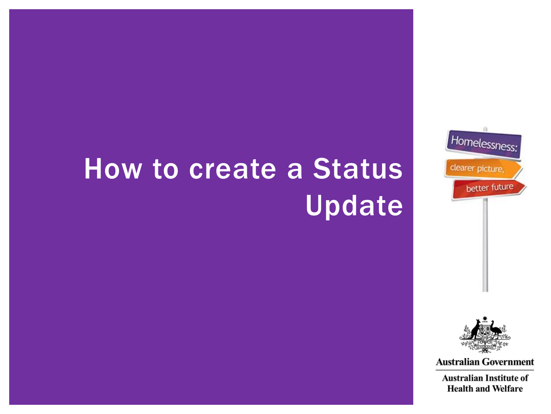# How to create a Status **Update**





**Australian Government**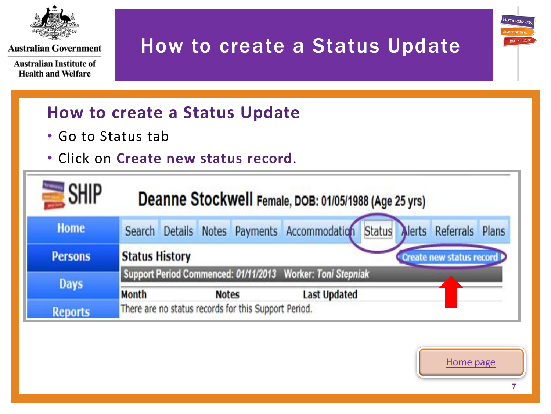

**Australian Institute of Health and Welfare** 

### How to create a Status Update

#### **How to create a Status Update**

- Go to Status tab
- Click on **Create new status record**.

<span id="page-6-0"></span>

| <b>SHIP</b>    | Deanne Stockwell Female, DOB: 01/05/1988 (Age 25 yrs)                           |  |
|----------------|---------------------------------------------------------------------------------|--|
| <b>Home</b>    | Alerts Referrals Plans<br>Search Details Notes Payments Accommodation<br>Status |  |
| <b>Persons</b> | <b>Status History</b><br>Create new status record                               |  |
| <b>Days</b>    | Support Period Commenced: 01/11/2013 Worker: Toni Stepniak                      |  |
|                | <b>Month</b><br><b>Last Updated</b><br><b>Notes</b>                             |  |
| <b>Reports</b> | There are no status records for this Support Period.                            |  |



Homelessn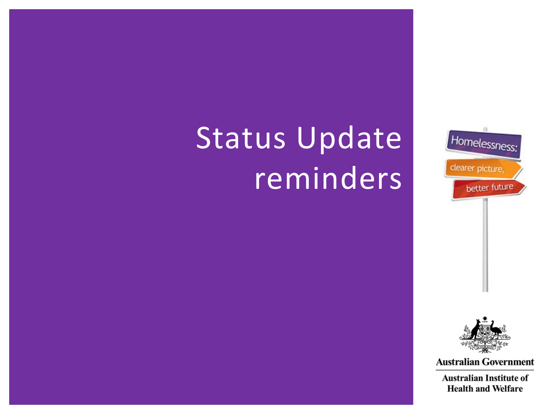# <span id="page-7-0"></span>Status Update reminders



**Australian Government**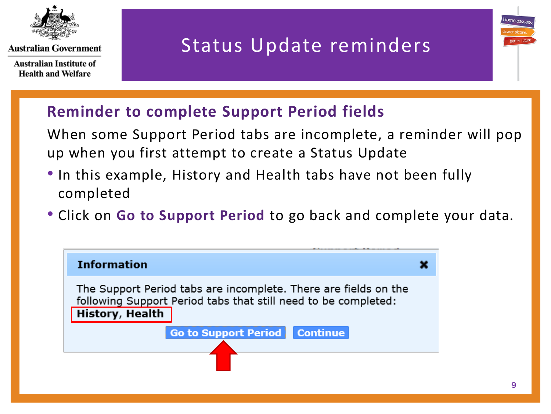

**Australian Institute of Health and Welfare** 

#### Status Update reminders

#### **Reminder to complete Support Period fields**

When some Support Period tabs are incomplete, a reminder will pop up when you first attempt to create a Status Update

- In this example, History and Health tabs have not been fully completed
- Click on **Go to Support Period** to go back and complete your data.

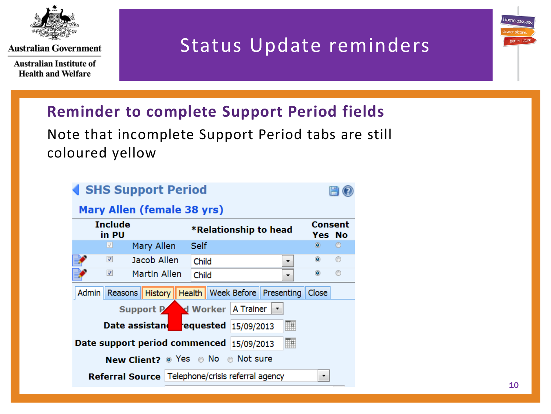

**Australian Institute of Health and Welfare** 

#### Status Update reminders

#### **Reminder to complete Support Period fields**

Note that incomplete Support Period tabs are still coloured yellow

| <b>SHS Support Period</b>                |                                            |                           |
|------------------------------------------|--------------------------------------------|---------------------------|
| Mary Allen (female 38 yrs)               |                                            |                           |
| <b>Include</b><br>in PU                  | *Relationship to head                      | <b>Consent</b><br>Yes No  |
| $\sqrt{}$<br>Mary Allen                  | Self                                       | $\circledcirc$<br>$\circ$ |
| $\overline{\mathbf{v}}$<br>Jacob Allen   | Child                                      | $\odot$<br>◉              |
| $\overline{\mathsf{v}}$<br>Martin Allen  | Child                                      | ◉<br>$\circledcirc$       |
| Admin   Reasons  <br><b>History</b>      | <b>Health   Week Before   Presenting  </b> | Close                     |
|                                          | Support Part of Worker A Trainer           |                           |
| Date assistand requested 15/09/2013      | ▦                                          |                           |
| Date support period commenced 15/09/2013 | 膴                                          |                           |
|                                          | <b>New Client?</b> • Yes • No • Not sure   |                           |
| <b>Referral Source</b>                   | Telephone/crisis referral agency           | ▼                         |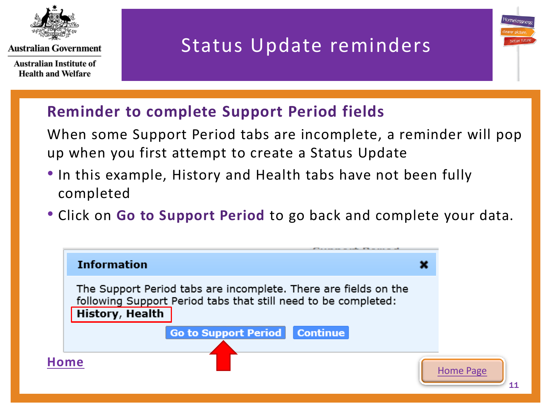

**Australian Institute of Health and Welfare** 

#### Status Update reminders

Homeless

#### **Reminder to complete Support Period fields**

When some Support Period tabs are incomplete, a reminder will pop up when you first attempt to create a Status Update

- In this example, History and Health tabs have not been fully completed
- Click on **Go to Support Period** to go back and complete your data.

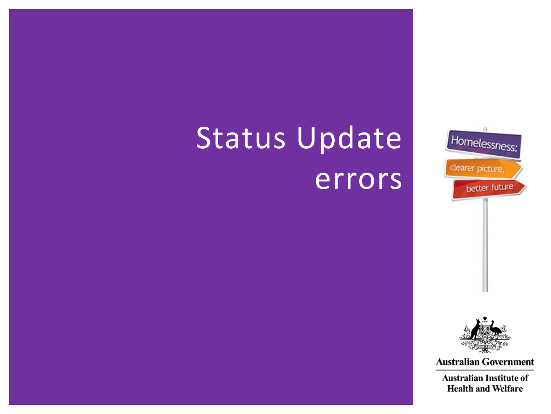# Status Update errors





**Australian Government**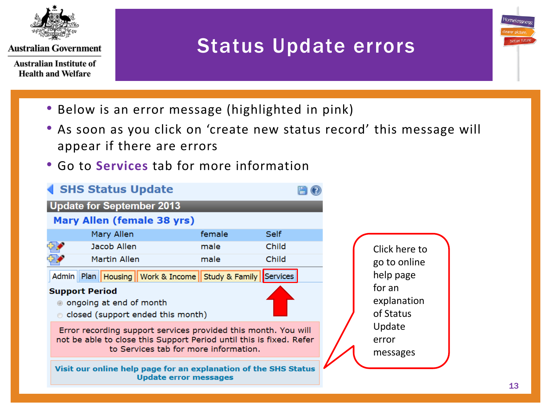

**Australian Institute of Health and Welfare** 

#### Status Update errors

- Below is an error message (highlighted in pink)
- As soon as you click on 'create new status record' this message will appear if there are errors
- Go to **Services** tab for more information

<span id="page-12-0"></span>

Homelessn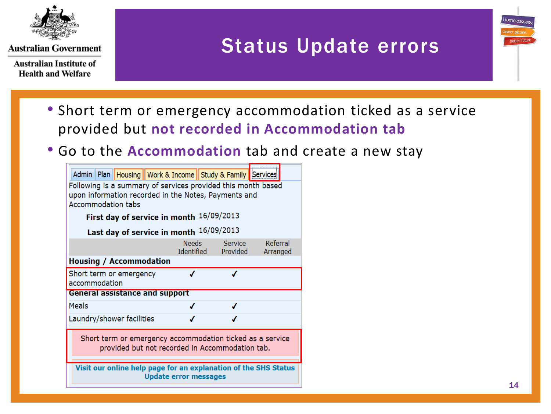

**Australian Institute of Health and Welfare** 

#### Status Update errors

- Short term or emergency accommodation ticked as a service provided but **not recorded in Accommodation tab**
- Go to the **Accommodation** tab and create a new stay

| Admin    Plan    Housing    Work & Income    Study & Family    Services                                                                           |                              |                                |                      |  |
|---------------------------------------------------------------------------------------------------------------------------------------------------|------------------------------|--------------------------------|----------------------|--|
| Following is a summary of services provided this month based<br>upon information recorded in the Notes, Payments and<br><b>Accommodation tabs</b> |                              |                                |                      |  |
| First day of service in month 16/09/2013                                                                                                          |                              |                                |                      |  |
| Last day of service in month 16/09/2013                                                                                                           |                              |                                |                      |  |
|                                                                                                                                                   | <b>Needs</b>                 | Service<br>Identified Provided | Referral<br>Arranged |  |
| <b>Housing / Accommodation</b>                                                                                                                    |                              |                                |                      |  |
| Short term or emergency<br>accommodation                                                                                                          | J                            | J                              |                      |  |
| <b>General assistance and support</b>                                                                                                             |                              |                                |                      |  |
| <b>Meals</b>                                                                                                                                      |                              |                                |                      |  |
| Laundry/shower facilities                                                                                                                         |                              |                                |                      |  |
| Short term or emergency accommodation ticked as a service<br>provided but not recorded in Accommodation tab.                                      |                              |                                |                      |  |
| Visit our online help page for an explanation of the SHS Status                                                                                   | <b>Update error messages</b> |                                |                      |  |
|                                                                                                                                                   |                              |                                |                      |  |

Homelessi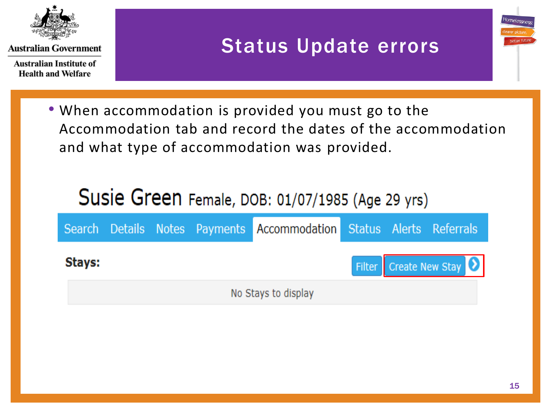

**Australian Institute of Health and Welfare** 

#### Status Update errors

• When accommodation is provided you must go to the Accommodation tab and record the dates of the accommodation and what type of accommodation was provided.

## Susie Green Female, DOB: 01/07/1985 (Age 29 yrs)

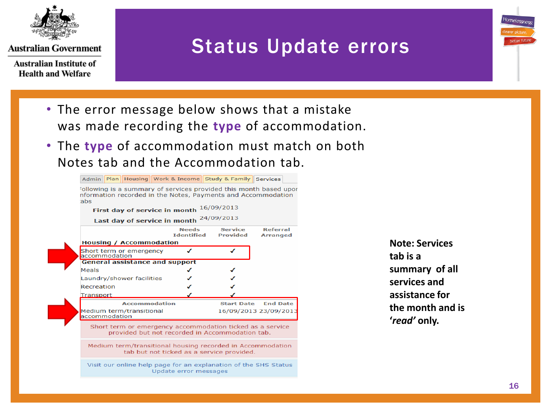

**Australian Institute of Health and Welfare** 

#### Status Update errors

- The error message below shows that a mistake was made recording the **type** of accommodation.
- The **type** of accommodation must match on both Notes tab and the Accommodation tab.



**Note: Services tab is a summary of all services and assistance for the month and is '***read'* **only.** 

Homelessne

hetter ful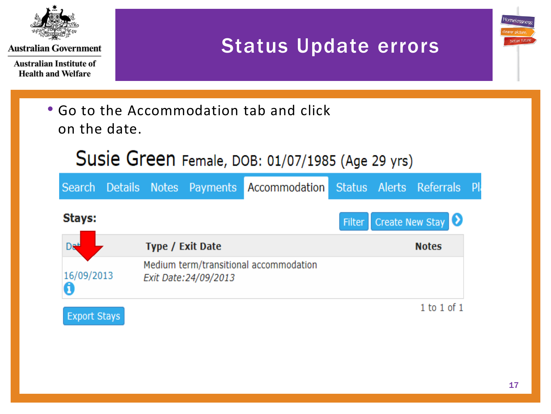

**Australian Institute of Health and Welfare** 

#### Status Update errors



**Type / Exit Date Notes** Di Medium term/transitional accommodation 16/09/2013 Exit Date: 24/09/2013

**Export Stays** 

 $1$  to  $1$  of  $1$ 

 $\bullet$ 

Homelessn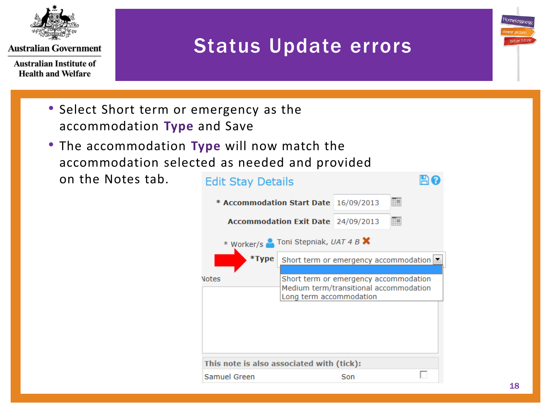

**Australian Institute of Health and Welfare** 

### Status Update errors

- Select Short term or emergency as the accommodation **Type** and Save
- The accommodation **Type** will now match the accommodation selected as needed and provided

on the Notes tab.

| <b>Edit Stay Details</b>                     |                                    |                                                                                 |   |
|----------------------------------------------|------------------------------------|---------------------------------------------------------------------------------|---|
| <b>* Accommodation Start Date</b> 16/09/2013 |                                    |                                                                                 | 聃 |
|                                              | Accommodation Exit Date 24/09/2013 |                                                                                 | m |
| * Worker/s Toni Stepniak, UAT 4 B X          |                                    |                                                                                 |   |
| *Type                                        |                                    | Short term or emergency accommodation                                           |   |
| lotes                                        | Long term accommodation            | Short term or emergency accommodation<br>Medium term/transitional accommodation |   |
|                                              |                                    |                                                                                 |   |
|                                              |                                    |                                                                                 |   |
| This note is also associated with (tick):    |                                    |                                                                                 |   |
| Samuel Green                                 |                                    | Son                                                                             |   |

Homelessi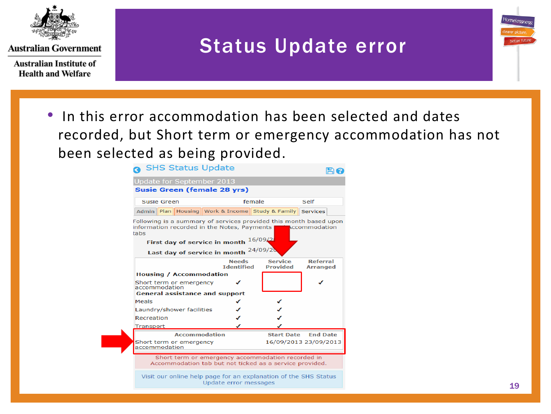

**Australian Institute of Health and Welfare** 

#### Status Update error

• In this error accommodation has been selected and dates recorded, but Short term or emergency accommodation has not been selected as being provided.

| SHS Status Update                                                                                                                                                             |                                                   |                                   |                                    |  |  |
|-------------------------------------------------------------------------------------------------------------------------------------------------------------------------------|---------------------------------------------------|-----------------------------------|------------------------------------|--|--|
| Update for September 2013                                                                                                                                                     |                                                   |                                   |                                    |  |  |
| Susie Green (female 28 yrs)                                                                                                                                                   |                                                   |                                   |                                    |  |  |
| Susie Green                                                                                                                                                                   |                                                   | female                            | Self                               |  |  |
| Admin   Plan   Housing   Work & Income   Study & Family   Services                                                                                                            |                                                   |                                   |                                    |  |  |
| Following is a summary of services provided this month based upon<br>information recorded in the Notes, Payments<br><b>Exercise Exercise Accommodation</b><br>tabs<br>16/09/2 |                                                   |                                   |                                    |  |  |
| First day of service in month                                                                                                                                                 |                                                   | 24/09/20                          |                                    |  |  |
| Last day of service in month                                                                                                                                                  |                                                   |                                   |                                    |  |  |
|                                                                                                                                                                               | <b>Needs</b><br><b>Identified</b>                 | <b>Service</b><br><b>Provided</b> | <b>Referral</b><br><b>Arranged</b> |  |  |
| <b>Housing / Accommodation</b>                                                                                                                                                |                                                   |                                   |                                    |  |  |
| Short term or emergency<br>accommodation                                                                                                                                      |                                                   |                                   |                                    |  |  |
| <b>General assistance and support</b>                                                                                                                                         |                                                   |                                   |                                    |  |  |
| Meals                                                                                                                                                                         | ✔                                                 |                                   |                                    |  |  |
| Laundry/shower facilities                                                                                                                                                     |                                                   |                                   |                                    |  |  |
| Recreation                                                                                                                                                                    |                                                   |                                   |                                    |  |  |
| Transport                                                                                                                                                                     |                                                   |                                   |                                    |  |  |
| <b>Accommodation</b>                                                                                                                                                          |                                                   | <b>Start Date</b>                 | <b>End Date</b>                    |  |  |
| Short term or emergency<br>accommodation                                                                                                                                      |                                                   |                                   | 16/09/2013 23/09/2013              |  |  |
| Accommodation tab but not ticked as a service provided.                                                                                                                       | Short term or emergency accommodation recorded in |                                   |                                    |  |  |
| Chatter and continued to the process from the construction of the Chine Chatter                                                                                               |                                                   |                                   |                                    |  |  |

<span id="page-18-0"></span>Visit our online help page for an explanation of the SHS Status Update error messages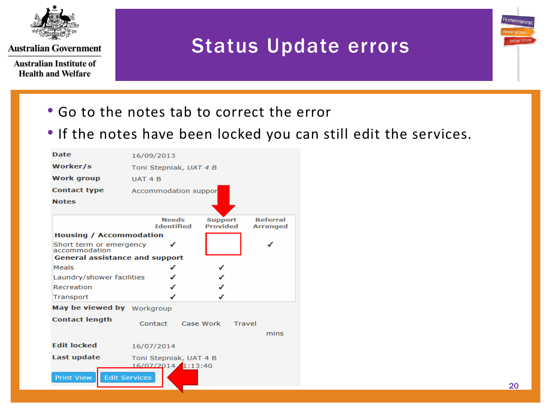

**Australian Institute of Health and Welfare** 

#### Status Update errors

- Go to the notes tab to correct the error
- If the notes have been locked you can still edit the services.

| <b>Date</b>                              | 16/09/2013           |                                   |                                   |                                    |
|------------------------------------------|----------------------|-----------------------------------|-----------------------------------|------------------------------------|
| Worker/s                                 |                      | Toni Stepniak, UAT 4 B            |                                   |                                    |
| <b>Work group</b>                        | UAT <sub>4</sub> B   |                                   |                                   |                                    |
| <b>Contact type</b>                      |                      | Accommodation suppor              |                                   |                                    |
| <b>Notes</b>                             |                      |                                   |                                   |                                    |
|                                          |                      | <b>Needs</b><br><b>Identified</b> | <b>Support</b><br><b>Provided</b> | <b>Referral</b><br><b>Arranged</b> |
| <b>Housing / Accommodation</b>           |                      |                                   |                                   |                                    |
| Short term or emergency<br>accommodation |                      | ℐ                                 |                                   |                                    |
| <b>General assistance and support</b>    |                      |                                   |                                   |                                    |
| Meals                                    |                      |                                   |                                   |                                    |
| Laundry/shower facilities                |                      |                                   |                                   |                                    |
| Recreation                               |                      |                                   |                                   |                                    |
| Transport                                |                      |                                   |                                   |                                    |
| May be viewed by Workgroup               |                      |                                   |                                   |                                    |
| <b>Contact length</b>                    | Contact              |                                   | Case Work<br>Travel               |                                    |
|                                          |                      |                                   |                                   | mins                               |
| <b>Fdit locked</b>                       | 16/07/2014           |                                   |                                   |                                    |
| Last update                              |                      | Toni Stepniak, UAT 4 B            |                                   |                                    |
|                                          |                      | 16/07/2014 1:13:40                |                                   |                                    |
| <b>Print View</b>                        | <b>Edit Services</b> |                                   |                                   |                                    |
|                                          |                      |                                   |                                   |                                    |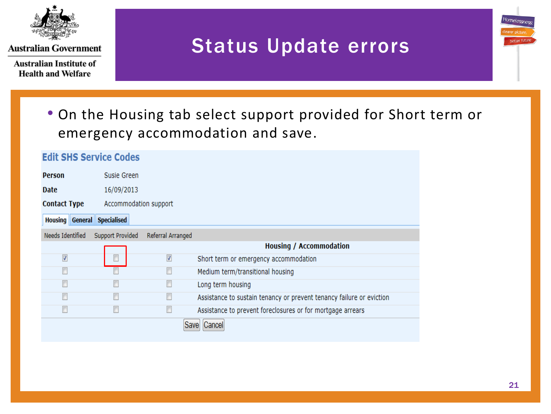

**Australian Institute of Health and Welfare** 

#### Status Update errors

• On the Housing tab select support provided for Short term or emergency accommodation and save.

| <b>Edit SHS Service Codes</b>      |                         |                         |                                                                      |
|------------------------------------|-------------------------|-------------------------|----------------------------------------------------------------------|
| Person                             | Susie Green             |                         |                                                                      |
| <b>Date</b>                        | 16/09/2013              |                         |                                                                      |
| <b>Contact Type</b>                | Accommodation support   |                         |                                                                      |
| <b>Housing General Specialised</b> |                         |                         |                                                                      |
| Needs Identified                   | <b>Support Provided</b> | Referral Arranged       |                                                                      |
|                                    |                         |                         | <b>Housing / Accommodation</b>                                       |
| $\sqrt{2}$                         | Г                       | $\overline{\mathsf{v}}$ | Short term or emergency accommodation                                |
| $\Box$                             |                         | П                       | Medium term/transitional housing                                     |
| $\Box$                             |                         | $\Box$                  | Long term housing                                                    |
| П                                  |                         | П                       | Assistance to sustain tenancy or prevent tenancy failure or eviction |
| П                                  | П                       | Г                       | Assistance to prevent foreclosures or for mortgage arrears           |
|                                    |                         | Save                    | Cancel                                                               |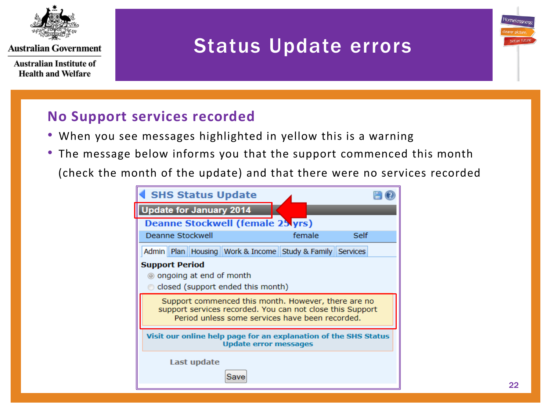

**Australian Institute of Health and Welfare** 

#### Status Update errors

#### **No Support services recorded**

- When you see messages highlighted in yellow this is a warning
- The message below informs you that the support commenced this month
	- (check the month of the update) and that there were no services recorded

<span id="page-21-0"></span>

| <b>SHS Status Update</b>                                                                                                                                            |        |      |
|---------------------------------------------------------------------------------------------------------------------------------------------------------------------|--------|------|
| <b>Update for January 2014</b>                                                                                                                                      |        |      |
| <b>Deanne Stockwell (female 25 yrs)</b>                                                                                                                             |        |      |
| Deanne Stockwell                                                                                                                                                    | female | Self |
| Admin   Plan   Housing   Work & Income   Study & Family   Services                                                                                                  |        |      |
| <b>Support Period</b><br>◎ ongoing at end of month<br>closed (support ended this month)                                                                             |        |      |
| Support commenced this month. However, there are no<br>support services recorded. You can not close this Support<br>Period unless some services have been recorded. |        |      |
| Visit our online help page for an explanation of the SHS Status<br><b>Update error messages</b>                                                                     |        |      |
| Last update                                                                                                                                                         |        |      |

tomeles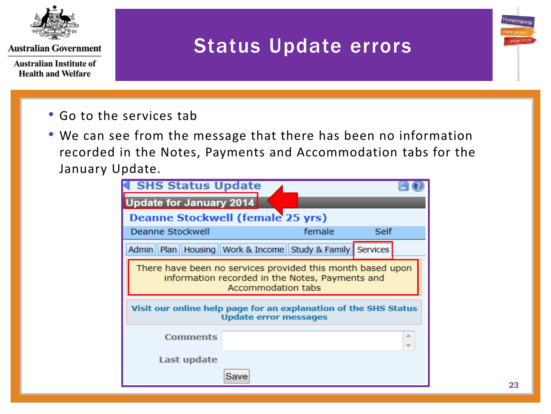

**Australian Institute of Health and Welfare** 

### Status Update errors

- Go to the services tab
- We can see from the message that there has been no information recorded in the Notes, Payments and Accommodation tabs for the January Update.

<span id="page-22-0"></span>

| <b>SHS Status Update</b>                                               |                              |                                                 |      |   |
|------------------------------------------------------------------------|------------------------------|-------------------------------------------------|------|---|
| <b>Update for January 2014</b>                                         |                              |                                                 |      |   |
| <b>Deanne Stockwell (female 25 yrs)</b>                                |                              |                                                 |      |   |
| Deanne Stockwell                                                       |                              | female                                          | Self |   |
| Admin    Plan    Housing    Work & Income    Study & Family   Services |                              |                                                 |      |   |
| There have been no services provided this month based upon             | <b>Accommodation tabs</b>    | information recorded in the Notes, Payments and |      |   |
| Visit our online help page for an explanation of the SHS Status        | <b>Update error messages</b> |                                                 |      |   |
| Comments                                                               |                              |                                                 |      | ∸ |
| Last update                                                            |                              |                                                 |      |   |
|                                                                        | Save                         |                                                 |      |   |

Homelessi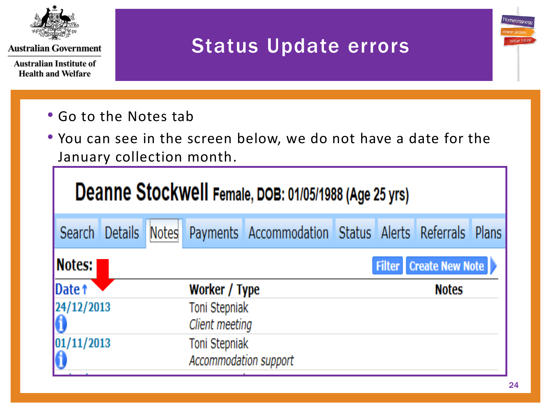

**Australian Institute of Health and Welfare** 

### Status Update errors

- Go to the Notes tab
- You can see in the screen below, we do not have a date for the January collection month.

|                        | Deanne Stockwell Female, DOB: 01/05/1988 (Age 25 yrs) |  |                                        |                                                            |  |  |                               |  |
|------------------------|-------------------------------------------------------|--|----------------------------------------|------------------------------------------------------------|--|--|-------------------------------|--|
| Search Details         |                                                       |  |                                        | Notes Payments Accommodation Status Alerts Referrals Plans |  |  |                               |  |
| Notes:                 |                                                       |  |                                        |                                                            |  |  | <b>Filter</b> Create New Note |  |
| Date 1                 |                                                       |  | Worker / Type                          |                                                            |  |  | <b>Notes</b>                  |  |
| 24/12/2013             |                                                       |  | Toni Stepniak                          |                                                            |  |  |                               |  |
|                        |                                                       |  | Client meeting                         |                                                            |  |  |                               |  |
| $\frac{01/11/2013}{0}$ |                                                       |  | Toni Stepniak<br>Accommodation support |                                                            |  |  |                               |  |

Homelessn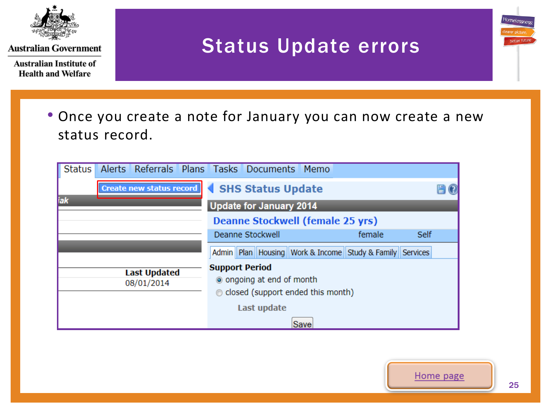

**Australian Institute of Health and Welfare** 

#### Status Update errors

• Once you create a note for January you can now create a new status record.

| <b>Status</b>                     | Alerts Referrals Plans Tasks Documents Memo                                                                      |        |      |  |
|-----------------------------------|------------------------------------------------------------------------------------------------------------------|--------|------|--|
| <b>Create new status record</b>   | SHS Status Update                                                                                                |        |      |  |
| iak                               | <b>Update for January 2014</b>                                                                                   |        |      |  |
|                                   | <b>Deanne Stockwell (female 25 yrs)</b>                                                                          |        |      |  |
|                                   | Deanne Stockwell                                                                                                 | female | Self |  |
|                                   | Admin    Plan    Housing    Work & Income    Study & Family    Services                                          |        |      |  |
| <b>Last Updated</b><br>08/01/2014 | <b>Support Period</b><br>o ongoing at end of month<br>© closed (support ended this month)<br>Last update<br>Save |        |      |  |



Homelessn

better fi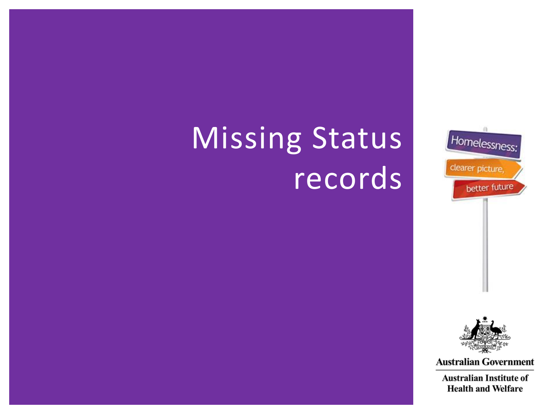# <span id="page-25-0"></span>Missing Status records





**Australian Government**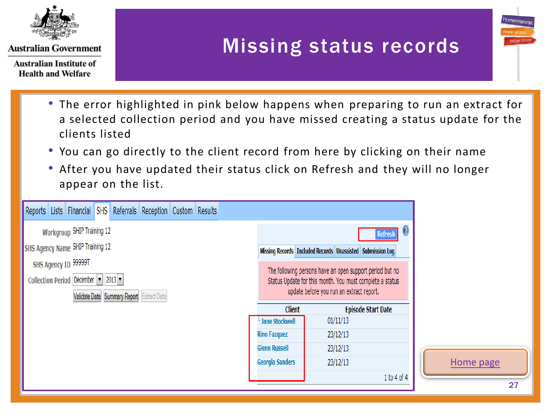

**Australian Institute of Health and Welfare** 

## Missing status records

- The error highlighted in pink below has the error highlighted in pink below has a selected collection neriod a screeted concerton period and you have imssed creating a status apud. • The error highlighted in pink below happens when preparing to run an extract for a selected collection period and you have missed creating a status update for the clients listed
- You can go directly to the client record from here by clicking on their name
- After you have updated their status click on Refresh and they will no longer appear on the list.

| Reports Lists Financial SHS Referrals Reception Custom Results                                                                     |                        |                                                                                                                                                                  |           |
|------------------------------------------------------------------------------------------------------------------------------------|------------------------|------------------------------------------------------------------------------------------------------------------------------------------------------------------|-----------|
| <b>Workgroup SHIP Training 12</b>                                                                                                  |                        | $\mathbf G$<br><b>Refresh</b>                                                                                                                                    |           |
| <b>SHS Agency Name SHIP Training 12</b>                                                                                            |                        | Missing Records   Included Records   Unassisted   Submission Log                                                                                                 |           |
| SHS Agency ID 99999T<br>Collection Period December $ \mathbf{v} $ 2013 $ \mathbf{v} $<br>Validate Data Summary Report Extract Data |                        | The following persons have an open support period but no<br>Status Update for this month. You must complete a status<br>update before you run an extract report. |           |
|                                                                                                                                    | <b>Client</b>          | <b>Episode Start Date</b>                                                                                                                                        |           |
|                                                                                                                                    | Jane Stockwell         | 01/11/13                                                                                                                                                         |           |
|                                                                                                                                    | <b>Rino Fazquez</b>    | 23/12/13                                                                                                                                                         |           |
|                                                                                                                                    | <b>Glenn Russell</b>   | 23/12/13                                                                                                                                                         |           |
|                                                                                                                                    | <b>Georgia Sanders</b> | 23/12/13                                                                                                                                                         | Home page |
|                                                                                                                                    |                        | 1 to 4 of 4                                                                                                                                                      |           |